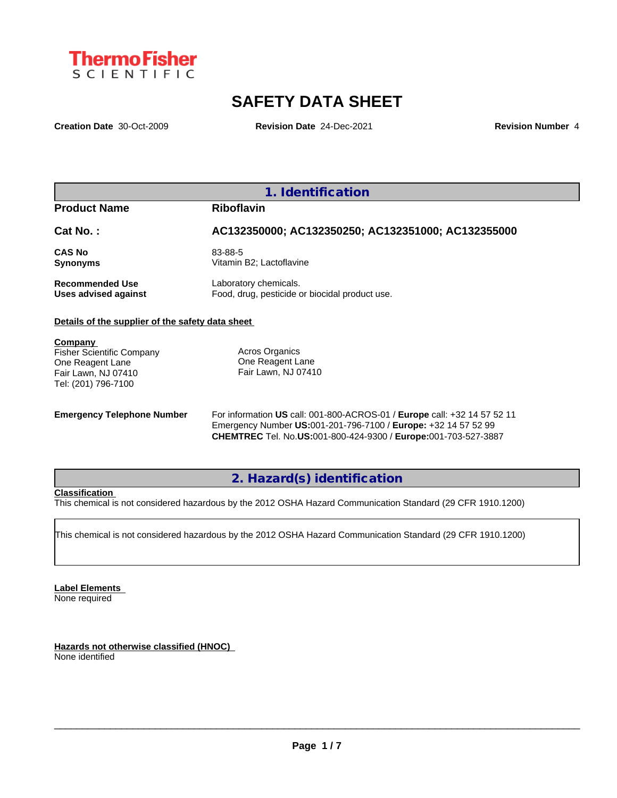

# **SAFETY DATA SHEET**

**Creation Date** 30-Oct-2009 **Revision Date** 24-Dec-2021 **Revision Number** 4

## **1. Identification**

## **Product Name Riboflavin**

## **Cat No. : AC132350000; AC132350250; AC132351000; AC132355000**

**CAS No** 83-88-5 **Synonyms** Vitamin B2; Lactoflavine

**Recommended Use** Laboratory chemicals.<br> **Uses advised against** Food, drug, pesticide of Food, drug, pesticide or biocidal product use.

## **Details of the supplier of the safety data sheet**

**Company** 

Fisher Scientific Company One Reagent Lane Fair Lawn, NJ 07410 Tel: (201) 796-7100

Acros Organics One Reagent Lane Fair Lawn, NJ 07410

**Emergency Telephone Number** For information **US** call: 001-800-ACROS-01 / **Europe** call: +32 14 57 52 11 Emergency Number **US:**001-201-796-7100 / **Europe:** +32 14 57 52 99 **CHEMTREC** Tel. No.**US:**001-800-424-9300 / **Europe:**001-703-527-3887

## **2. Hazard(s) identification**

## **Classification**

This chemical is not considered hazardous by the 2012 OSHA Hazard Communication Standard (29 CFR 1910.1200)

This chemical is not considered hazardous by the 2012 OSHA Hazard Communication Standard (29 CFR 1910.1200)

**Label Elements** None required

**Hazards not otherwise classified (HNOC)** None identified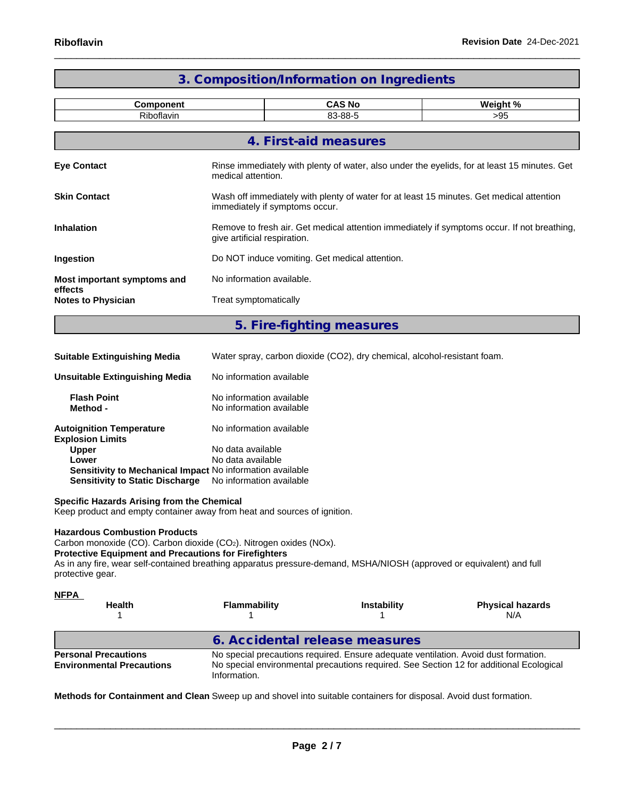|                                                 |                                                                                                                             | 3. Composition/Information on Ingredients                                                                                  |                                                                                              |  |  |  |  |  |
|-------------------------------------------------|-----------------------------------------------------------------------------------------------------------------------------|----------------------------------------------------------------------------------------------------------------------------|----------------------------------------------------------------------------------------------|--|--|--|--|--|
| <b>Component</b><br>Riboflavin                  |                                                                                                                             | <b>CAS No</b><br>83-88-5                                                                                                   | Weight %<br>$>95$                                                                            |  |  |  |  |  |
|                                                 |                                                                                                                             | 4. First-aid measures                                                                                                      |                                                                                              |  |  |  |  |  |
| <b>Eye Contact</b>                              | medical attention.                                                                                                          |                                                                                                                            | Rinse immediately with plenty of water, also under the eyelids, for at least 15 minutes. Get |  |  |  |  |  |
| <b>Skin Contact</b>                             |                                                                                                                             | Wash off immediately with plenty of water for at least 15 minutes. Get medical attention<br>immediately if symptoms occur. |                                                                                              |  |  |  |  |  |
| <b>Inhalation</b>                               | Remove to fresh air. Get medical attention immediately if symptoms occur. If not breathing,<br>give artificial respiration. |                                                                                                                            |                                                                                              |  |  |  |  |  |
| Ingestion                                       | Do NOT induce vomiting. Get medical attention.                                                                              |                                                                                                                            |                                                                                              |  |  |  |  |  |
| Most important symptoms and                     | No information available.                                                                                                   |                                                                                                                            |                                                                                              |  |  |  |  |  |
| effects<br><b>Notes to Physician</b>            | Treat symptomatically                                                                                                       |                                                                                                                            |                                                                                              |  |  |  |  |  |
|                                                 |                                                                                                                             | 5. Fire-fighting measures                                                                                                  |                                                                                              |  |  |  |  |  |
| <b>Suitable Extinguishing Media</b>             | Water spray, carbon dioxide (CO2), dry chemical, alcohol-resistant foam.                                                    |                                                                                                                            |                                                                                              |  |  |  |  |  |
| <b>Unsuitable Extinguishing Media</b>           | No information available                                                                                                    |                                                                                                                            |                                                                                              |  |  |  |  |  |
| <b>Flash Point</b><br>Method -                  |                                                                                                                             | No information available<br>No information available                                                                       |                                                                                              |  |  |  |  |  |
| and a based of a set The second a second second | والماجان ويرود والمنافذ ووسط والملط                                                                                         |                                                                                                                            |                                                                                              |  |  |  |  |  |

| Autoignition Temperature                                         | No information available |
|------------------------------------------------------------------|--------------------------|
| <b>Explosion Limits</b>                                          |                          |
| <b>Upper</b>                                                     | No data available        |
| Lower                                                            | No data available        |
| <b>Sensitivity to Mechanical Impact No information available</b> |                          |
| Sensitivity to Static Discharge No information available         |                          |

**Specific Hazards Arising from the Chemical**

Keep product and empty container away from heat and sources of ignition.

## **Hazardous Combustion Products**

Carbon monoxide (CO). Carbon dioxide (CO2). Nitrogen oxides (NOx).

#### **Protective Equipment and Precautions for Firefighters**

As in any fire, wear self-contained breathing apparatus pressure-demand, MSHA/NIOSH (approved or equivalent) and full protective gear.

| <b>NFPA</b><br><b>Health</b>                                    | Flammability                   | <b>Instability</b>                                                                  | <b>Physical hazards</b><br>N/A                                                          |
|-----------------------------------------------------------------|--------------------------------|-------------------------------------------------------------------------------------|-----------------------------------------------------------------------------------------|
|                                                                 | 6. Accidental release measures |                                                                                     |                                                                                         |
| <b>Personal Precautions</b><br><b>Environmental Precautions</b> | Information.                   | No special precautions required. Ensure adequate ventilation. Avoid dust formation. | No special environmental precautions required. See Section 12 for additional Ecological |

**Methods for Containment and Clean** Sweep up and shovel into suitable containers for disposal. Avoid dust formation.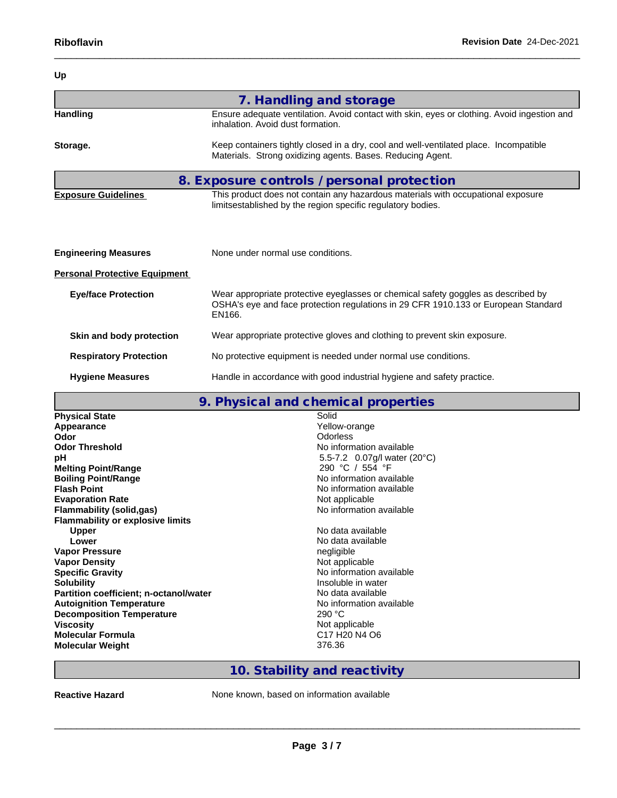| Up                                   |                                                                                                                                                                                   |
|--------------------------------------|-----------------------------------------------------------------------------------------------------------------------------------------------------------------------------------|
|                                      | 7. Handling and storage                                                                                                                                                           |
| <b>Handling</b>                      | Ensure adequate ventilation. Avoid contact with skin, eyes or clothing. Avoid ingestion and<br>inhalation. Avoid dust formation.                                                  |
| Storage.                             | Keep containers tightly closed in a dry, cool and well-ventilated place. Incompatible<br>Materials. Strong oxidizing agents. Bases. Reducing Agent.                               |
|                                      | 8. Exposure controls / personal protection                                                                                                                                        |
| <b>Exposure Guidelines</b>           | This product does not contain any hazardous materials with occupational exposure<br>limitsestablished by the region specific regulatory bodies.                                   |
| <b>Engineering Measures</b>          | None under normal use conditions.                                                                                                                                                 |
| <b>Personal Protective Equipment</b> |                                                                                                                                                                                   |
| <b>Eye/face Protection</b>           | Wear appropriate protective eyeglasses or chemical safety goggles as described by<br>OSHA's eye and face protection regulations in 29 CFR 1910.133 or European Standard<br>EN166. |
| Skin and body protection             | Wear appropriate protective gloves and clothing to prevent skin exposure.                                                                                                         |
| <b>Respiratory Protection</b>        | No protective equipment is needed under normal use conditions.                                                                                                                    |
| <b>Hygiene Measures</b>              | Handle in accordance with good industrial hygiene and safety practice.                                                                                                            |

## **9. Physical and chemical properties**

|                                               | 7. THYSISAI ANA SHSIMSAI PIOPOI (183                          |
|-----------------------------------------------|---------------------------------------------------------------|
| <b>Physical State</b>                         | Solid                                                         |
| Appearance                                    | Yellow-orange                                                 |
| Odor                                          | <b>Odorless</b>                                               |
| <b>Odor Threshold</b>                         | No information available                                      |
| рH                                            | 5.5-7.2 0.07g/l water (20°C)                                  |
| <b>Melting Point/Range</b>                    | 290 °C / 554 °F                                               |
| <b>Boiling Point/Range</b>                    | No information available                                      |
| <b>Flash Point</b>                            | No information available                                      |
| <b>Evaporation Rate</b>                       | Not applicable                                                |
| Flammability (solid,gas)                      | No information available                                      |
| <b>Flammability or explosive limits</b>       |                                                               |
| <b>Upper</b>                                  | No data available                                             |
| Lower                                         | No data available                                             |
| <b>Vapor Pressure</b>                         | negligible                                                    |
| <b>Vapor Density</b>                          | Not applicable                                                |
| <b>Specific Gravity</b>                       | No information available                                      |
| <b>Solubility</b>                             | Insoluble in water                                            |
| <b>Partition coefficient; n-octanol/water</b> | No data available                                             |
| <b>Autoignition Temperature</b>               | No information available                                      |
| <b>Decomposition Temperature</b>              | 290 °C                                                        |
| <b>Viscosity</b>                              | Not applicable                                                |
| <b>Molecular Formula</b>                      | C <sub>17</sub> H <sub>20</sub> N <sub>4</sub> O <sub>6</sub> |
| <b>Molecular Weight</b>                       | 376.36                                                        |
|                                               |                                                               |

# **10. Stability and reactivity**

**Reactive Hazard None known, based on information available**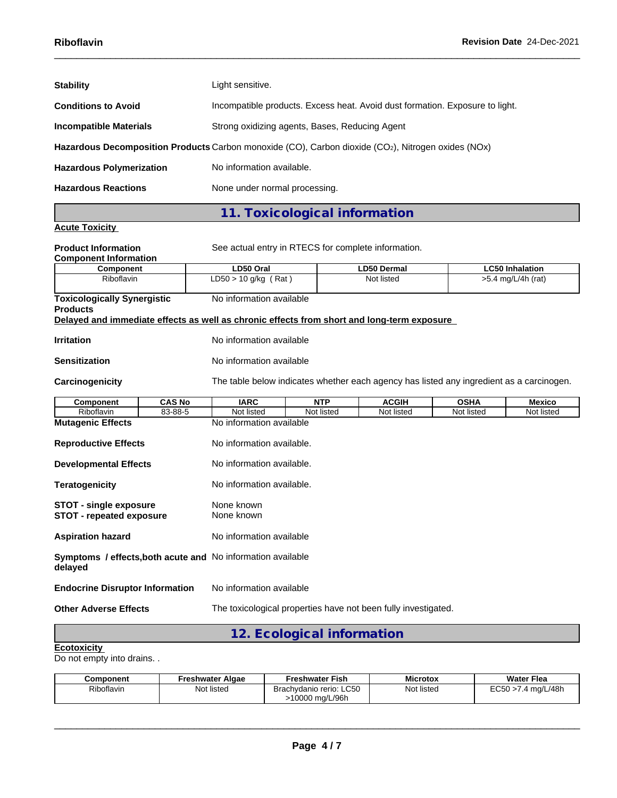| <b>Stability</b>                | Light sensitive.                                                                                   |
|---------------------------------|----------------------------------------------------------------------------------------------------|
| <b>Conditions to Avoid</b>      | Incompatible products. Excess heat. Avoid dust formation. Exposure to light.                       |
| <b>Incompatible Materials</b>   | Strong oxidizing agents, Bases, Reducing Agent                                                     |
|                                 | Hazardous Decomposition Products Carbon monoxide (CO), Carbon dioxide (CO2), Nitrogen oxides (NOx) |
| <b>Hazardous Polymerization</b> | No information available.                                                                          |
| <b>Hazardous Reactions</b>      | None under normal processing.                                                                      |
|                                 | 11. Toxicological information                                                                      |
| <b>Acute Toxicity</b>           |                                                                                                    |

**Product Information** See actual entry in RTECS for complete information. **Component Information Component LD50 Oral LD50 Dermal LC50 Inhalation** Riboflavin **LD50** > 10 g/kg (Rat ) Not listed >5.4 mg/L/4h (rat) **Toxicologically Synergistic Products** No information available **Delayed and immediate effects as well as chronic effects from short and long-term exposure Irritation** No information available **Sensitization** No information available **Carcinogenicity** The table below indicateswhether each agency has listed any ingredient as a carcinogen. **Component CAS No IARC NTP ACGIH OSHA Mexico** Riboflavin | 83-88-5 | Not listed | Not listed | Not listed | Not listed | Not listed | **Mutagenic Effects** No information available **Reproductive Effects** No information available. **Developmental Effects** No information available. **Teratogenicity No information available. STOT -** single exposure **None known**<br> **STOT** - repeated exposure **None known STOT** - repeated exposure **Aspiration hazard** No information available **Symptoms / effects,both acute and** No information available **delayed Endocrine Disruptor Information** No information available **Other Adverse Effects** The toxicological properties have not been fully investigated.

## **12. Ecological information**

#### **Ecotoxicity**

Do not empty into drains. .

| Component  | Freshwater Algae | Freshwater Fish                                        | <b>Microtox</b> | <b>Water Flea</b>                 |
|------------|------------------|--------------------------------------------------------|-----------------|-----------------------------------|
| Riboflavin | Not listed       | <b>LC50</b><br>Brachydanio rerio:<br>ma/L/96h<br>10000 | Not listed      | roro<br>.4 ma/L/48h<br>51<br>⊷∪ບບ |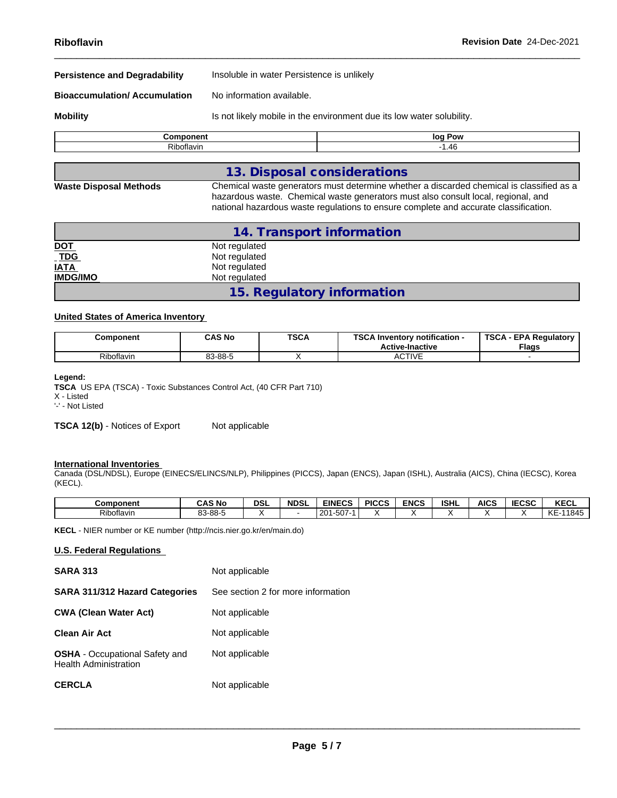| <b><i>Property in the matter</i></b> | 1 - - D - - - -                                                       |
|--------------------------------------|-----------------------------------------------------------------------|
| <b>Mobility</b>                      | Is not likely mobile in the environment due its low water solubility. |
| <b>Bioaccumulation/Accumulation</b>  | No information available.                                             |
| <b>Persistence and Degradability</b> | Insoluble in water Persistence is unlikely                            |
|                                      |                                                                       |

|            | Pow<br>log |
|------------|------------|
| Riboflavin | 1.46       |
|            |            |

## **13. Disposal considerations**

**Waste Disposal Methods** Chemical waste generators must determine whether a discarded chemical is classified as a hazardous waste. Chemical waste generators must also consult local, regional, and national hazardous waste regulations to ensure complete and accurate classification.

|                 | 14. Transport information  |
|-----------------|----------------------------|
| <u>DOT</u>      | Not regulated              |
| $TDG$           | Not regulated              |
| <b>IATA</b>     | Not regulated              |
| <b>IMDG/IMO</b> | Not regulated              |
|                 | 15. Regulatory information |

## **United States of America Inventory**

| Component  | <b>CAS No</b> | <b>TSCA</b><br>___ | TOO A I<br>Inventory notification -<br><b>Active-Inactive</b> | TSC/<br><b>EPA Requiatory</b><br><b>Flags</b> |  |
|------------|---------------|--------------------|---------------------------------------------------------------|-----------------------------------------------|--|
| Riboflavin | 83-88-5       |                    | CTIVE<br>∼<br>.                                               |                                               |  |

#### **Legend:**

**TSCA** US EPA (TSCA) - Toxic Substances Control Act, (40 CFR Part 710) X - Listed

'-' - Not Listed

**TSCA 12(b)** - Notices of Export Not applicable

### **International Inventories**

Canada (DSL/NDSL), Europe (EINECS/ELINCS/NLP), Philippines (PICCS), Japan (ENCS), Japan (ISHL), Australia (AICS), China (IECSC), Korea (KECL).

| Component              | ົ AS No | DSL | <b>NDSL</b> | <b>EINECS</b>               | <b>PICCS</b> | <b>ENCS</b> | <b>ISHL</b> | <b>AICS</b> | 5000<br>טטי | <b>KECL</b>       |
|------------------------|---------|-----|-------------|-----------------------------|--------------|-------------|-------------|-------------|-------------|-------------------|
| $ \cdot$<br>Riboflavin | 83-88-5 |     |             | $-0$<br>$\sim$<br>-507<br>້ |              |             |             |             |             | <b>KE</b><br>1845 |

**KECL** - NIER number or KE number (http://ncis.nier.go.kr/en/main.do)

### **U.S. Federal Regulations**

| <b>SARA 313</b>                                                       | Not applicable                     |
|-----------------------------------------------------------------------|------------------------------------|
| <b>SARA 311/312 Hazard Categories</b>                                 | See section 2 for more information |
| <b>CWA (Clean Water Act)</b>                                          | Not applicable                     |
| <b>Clean Air Act</b>                                                  | Not applicable                     |
| <b>OSHA</b> - Occupational Safety and<br><b>Health Administration</b> | Not applicable                     |
| <b>CERCLA</b>                                                         | Not applicable                     |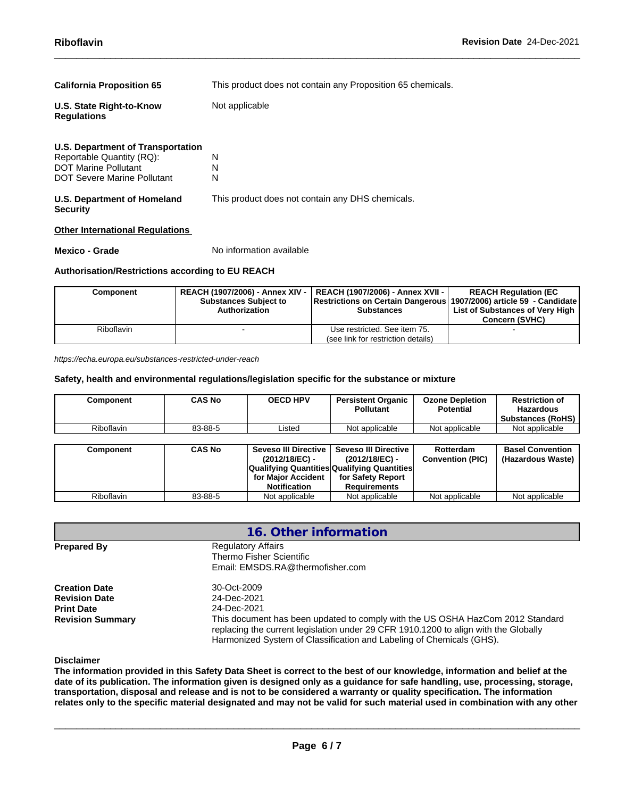| <b>California Proposition 65</b>                                                                                             | This product does not contain any Proposition 65 chemicals. |
|------------------------------------------------------------------------------------------------------------------------------|-------------------------------------------------------------|
| U.S. State Right-to-Know<br><b>Regulations</b>                                                                               | Not applicable                                              |
| U.S. Department of Transportation<br>Reportable Quantity (RQ):<br>DOT Marine Pollutant<br><b>DOT Severe Marine Pollutant</b> | N<br>N<br>N                                                 |
| U.S. Department of Homeland<br><b>Security</b>                                                                               | This product does not contain any DHS chemicals.            |

#### **Other International Regulations**

**Mexico - Grade** No information available

## **Authorisation/Restrictions according to EU REACH**

| Component  | <b>Substances Subject to</b><br>Authorization | REACH (1907/2006) - Annex XIV -   REACH (1907/2006) - Annex XVII -  <br>Restrictions on Certain Dangerous 1907/2006) article 59 - Candidate<br><b>Substances</b> | <b>REACH Regulation (EC)</b><br>List of Substances of Very High<br><b>Concern (SVHC)</b> |
|------------|-----------------------------------------------|------------------------------------------------------------------------------------------------------------------------------------------------------------------|------------------------------------------------------------------------------------------|
| Riboflavin |                                               | Use restricted. See item 75.                                                                                                                                     |                                                                                          |
|            |                                               | (see link for restriction details)                                                                                                                               |                                                                                          |

*https://echa.europa.eu/substances-restricted-under-reach*

## **Safety, health and environmental regulations/legislation specific for the substance or mixture**

| Component         | <b>CAS No</b> | <b>OECD HPV</b>                             | <b>Persistent Organic</b><br><b>Pollutant</b> | <b>Ozone Depletion</b><br><b>Potential</b> | <b>Restriction of</b><br><b>Hazardous</b><br>Substances (RoHS) |
|-------------------|---------------|---------------------------------------------|-----------------------------------------------|--------------------------------------------|----------------------------------------------------------------|
| <b>Riboflavin</b> | 83-88-5       | Listed                                      | Not applicable                                | Not applicable                             | Not applicable                                                 |
|                   |               |                                             |                                               |                                            |                                                                |
| Component         | <b>CAS No</b> | Seveso III Directive<br>(2012/18/EC) -      | <b>Seveso III Directive</b><br>(2012/18/EC) - | Rotterdam<br><b>Convention (PIC)</b>       | <b>Basel Convention</b><br>(Hazardous Waste)                   |
|                   |               | Qualifying Quantities Qualifying Quantities |                                               |                                            |                                                                |
|                   |               | for Major Accident                          | for Safety Report                             |                                            |                                                                |
|                   |               | <b>Notification</b>                         | <b>Requirements</b>                           |                                            |                                                                |
| <b>Riboflavin</b> | 83-88-5       | Not applicable                              | Not applicable                                | Not applicable                             | Not applicable                                                 |

|                                                                                              | 16. Other information                                                                                                                                                                                                                                                                      |
|----------------------------------------------------------------------------------------------|--------------------------------------------------------------------------------------------------------------------------------------------------------------------------------------------------------------------------------------------------------------------------------------------|
| <b>Prepared By</b>                                                                           | <b>Regulatory Affairs</b><br>Thermo Fisher Scientific<br>Email: EMSDS.RA@thermofisher.com                                                                                                                                                                                                  |
| <b>Creation Date</b><br><b>Revision Date</b><br><b>Print Date</b><br><b>Revision Summary</b> | 30-Oct-2009<br>24-Dec-2021<br>24-Dec-2021<br>This document has been updated to comply with the US OSHA HazCom 2012 Standard<br>replacing the current legislation under 29 CFR 1910.1200 to align with the Globally<br>Harmonized System of Classification and Labeling of Chemicals (GHS). |

**Disclaimer**

The information provided in this Safety Data Sheet is correct to the best of our knowledge, information and belief at the date of its publication. The information given is designed only as a guidance for safe handling, use, processing, storage, transportation, disposal and release and is not to be considered a warranty or quality specification. The information relates only to the specific material designated and may not be valid for such material used in combination with any other